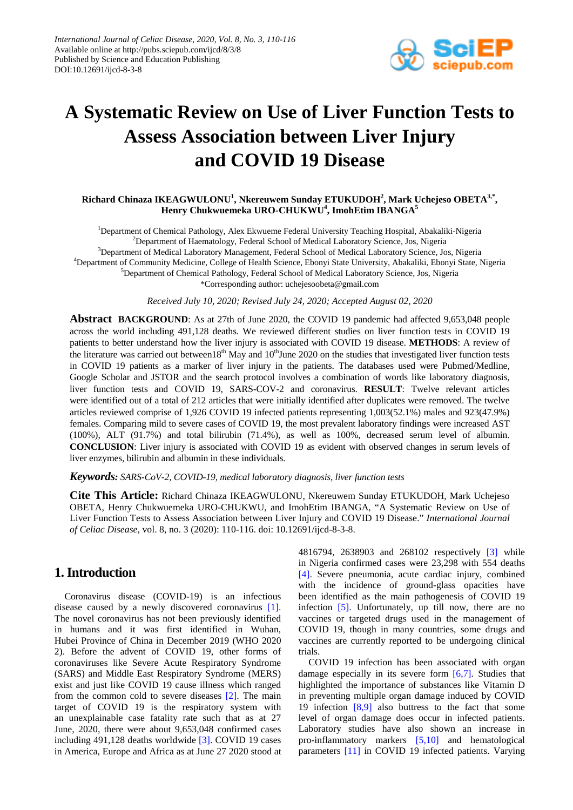

# **A Systematic Review on Use of Liver Function Tests to Assess Association between Liver Injury and COVID 19 Disease**

#### $\bold{Richard Chinaza IKEAGWULONU}^1$ ,  $\bold{Nkereuwen Sunday ETUKUDOH}^2$ ,  $\bold{Mark Uchejeso OBERTA}^{3,*},$ **Henry Chukwuemeka URO-CHUKWU<sup>4</sup> , ImohEtim IBANGA<sup>5</sup>**

<sup>1</sup>Department of Chemical Pathology, Alex Ekwueme Federal University Teaching Hospital, Abakaliki-Nigeria <sup>2</sup>Department of Haematology, Federal School of Medical Laboratory Science, Jos, Nigeria <sup>3</sup>Department of Medical Laboratory Management, Federal School of Medical Laboratory Science, Jos, Nigeria 4 Department of Community Medicine, College of Health Science, Ebonyi State University, Abakaliki, Ebonyi State, Nigeria <sup>5</sup>Department of Chemical Pathology, Federal School of Medical Laboratory Science, Jos, Nigeria \*Corresponding author: uchejesoobeta@gmail.com

*Received July 10, 2020; Revised July 24, 2020; Accepted August 02, 2020*

**Abstract BACKGROUND**: As at 27th of June 2020, the COVID 19 pandemic had affected 9,653,048 people across the world including 491,128 deaths. We reviewed different studies on liver function tests in COVID 19 patients to better understand how the liver injury is associated with COVID 19 disease. **METHODS**: A review of the literature was carried out between18<sup>th</sup> May and  $10<sup>th</sup>$ June 2020 on the studies that investigated liver function tests in COVID 19 patients as a marker of liver injury in the patients. The databases used were Pubmed/Medline, Google Scholar and JSTOR and the search protocol involves a combination of words like laboratory diagnosis, liver function tests and COVID 19, SARS-COV-2 and coronavirus. **RESULT**: Twelve relevant articles were identified out of a total of 212 articles that were initially identified after duplicates were removed. The twelve articles reviewed comprise of 1,926 COVID 19 infected patients representing 1,003(52.1%) males and 923(47.9%) females. Comparing mild to severe cases of COVID 19, the most prevalent laboratory findings were increased AST (100%), ALT (91.7%) and total bilirubin (71.4%), as well as 100%, decreased serum level of albumin. **CONCLUSION**: Liver injury is associated with COVID 19 as evident with observed changes in serum levels of liver enzymes, bilirubin and albumin in these individuals.

*Keywords: SARS-CoV-2, COVID-19, medical laboratory diagnosis, liver function tests*

**Cite This Article:** Richard Chinaza IKEAGWULONU, Nkereuwem Sunday ETUKUDOH, Mark Uchejeso OBETA, Henry Chukwuemeka URO-CHUKWU, and ImohEtim IBANGA, "A Systematic Review on Use of Liver Function Tests to Assess Association between Liver Injury and COVID 19 Disease." *International Journal of Celiac Disease*, vol. 8, no. 3 (2020): 110-116. doi: 10.12691/ijcd-8-3-8.

## **1. Introduction**

Coronavirus disease (COVID-19) is an infectious disease caused by a newly discovered coronavirus [\[1\].](#page-5-0) The novel coronavirus has not been previously identified in humans and it was first identified in Wuhan, Hubei Province of China in December 2019 (WHO 2020 2). Before the advent of COVID 19, other forms of coronaviruses like Severe Acute Respiratory Syndrome (SARS) and Middle East Respiratory Syndrome (MERS) exist and just like COVID 19 cause illness which ranged from the common cold to severe diseases [\[2\].](#page-5-1) The main target of COVID 19 is the respiratory system with an unexplainable case fatality rate such that as at 27 June, 2020, there were about 9,653,048 confirmed cases including 491,128 deaths worldwide [\[3\].](#page-5-2) COVID 19 cases in America, Europe and Africa as at June 27 2020 stood at 4816794, 2638903 and 268102 respectively [\[3\]](#page-5-2) while in Nigeria confirmed cases were 23,298 with 554 deaths [\[4\].](#page-5-3) Severe pneumonia, acute cardiac injury, combined with the incidence of ground-glass opacities have been identified as the main pathogenesis of COVID 19 infection [\[5\].](#page-5-4) Unfortunately, up till now, there are no vaccines or targeted drugs used in the management of COVID 19, though in many countries, some drugs and vaccines are currently reported to be undergoing clinical trials.

COVID 19 infection has been associated with organ damage especially in its severe form [\[6,7\].](#page-5-5) Studies that highlighted the importance of substances like Vitamin D in preventing multiple organ damage induced by COVID 19 infection [\[8,9\]](#page-5-6) also buttress to the fact that some level of organ damage does occur in infected patients. Laboratory studies have also shown an increase in pro-inflammatory markers [\[5,10\]](#page-5-4) and hematological parameters [\[11\]](#page-5-7) in COVID 19 infected patients. Varying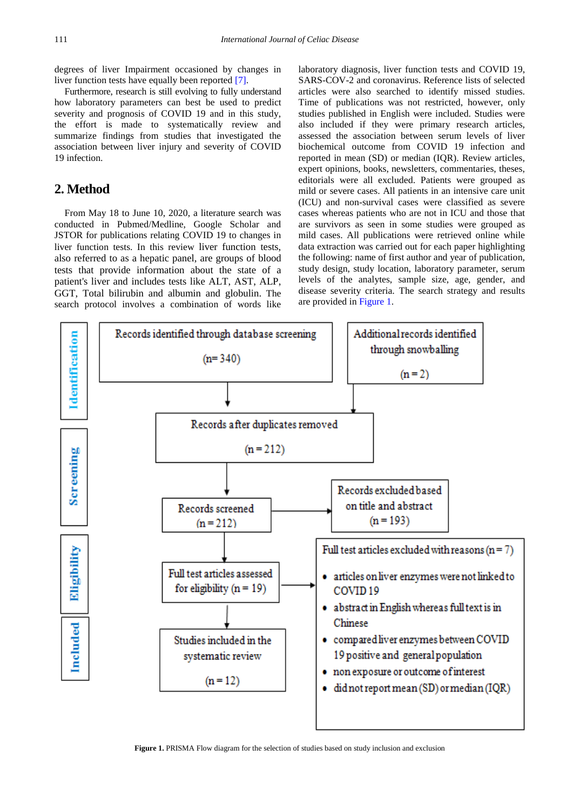degrees of liver Impairment occasioned by changes in liver function tests have equally been reported [\[7\].](#page-5-8)

Furthermore, research is still evolving to fully understand how laboratory parameters can best be used to predict severity and prognosis of COVID 19 and in this study, the effort is made to systematically review and summarize findings from studies that investigated the association between liver injury and severity of COVID 19 infection.

# **2. Method**

From May 18 to June 10, 2020, a literature search was conducted in Pubmed/Medline, Google Scholar and JSTOR for publications relating COVID 19 to changes in liver function tests. In this review liver function tests, also referred to as a hepatic panel, are groups of blood tests that provide information about the state of a patient's liver and includes tests like ALT, AST, ALP, GGT, Total bilirubin and albumin and globulin. The search protocol involves a combination of words like laboratory diagnosis, liver function tests and COVID 19, SARS-COV-2 and coronavirus. Reference lists of selected articles were also searched to identify missed studies. Time of publications was not restricted, however, only studies published in English were included. Studies were also included if they were primary research articles, assessed the association between serum levels of liver biochemical outcome from COVID 19 infection and reported in mean (SD) or median (IQR). Review articles, expert opinions, books, newsletters, commentaries, theses, editorials were all excluded. Patients were grouped as mild or severe cases. All patients in an intensive care unit (ICU) and non-survival cases were classified as severe cases whereas patients who are not in ICU and those that are survivors as seen in some studies were grouped as mild cases. All publications were retrieved online while data extraction was carried out for each paper highlighting the following: name of first author and year of publication, study design, study location, laboratory parameter, serum levels of the analytes, sample size, age, gender, and disease severity criteria. The search strategy and results are provided in [Figure 1.](#page-1-0)

<span id="page-1-0"></span>

**Figure 1.** PRISMA Flow diagram for the selection of studies based on study inclusion and exclusion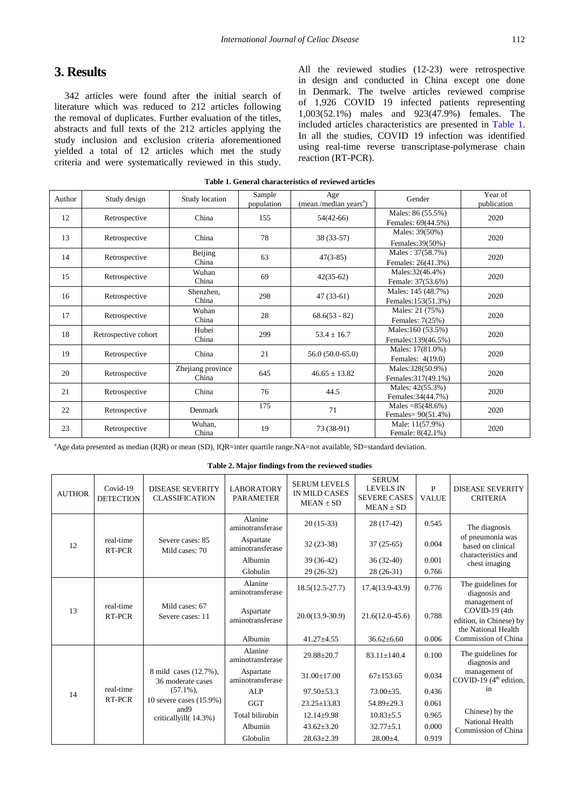# **3. Results**

342 articles were found after the initial search of literature which was reduced to 212 articles following the removal of duplicates. Further evaluation of the titles, abstracts and full texts of the 212 articles applying the study inclusion and exclusion criteria aforementioned yielded a total of 12 articles which met the study criteria and were systematically reviewed in this study.

All the reviewed studies (12-23) were retrospective in design and conducted in China except one done in Denmark. The twelve articles reviewed comprise of 1,926 COVID 19 infected patients representing 1,003(52.1%) males and 923(47.9%) females. The included articles characteristics are presented in [Table 1.](#page-2-0) In all the studies, COVID 19 infection was identified using real-time reverse transcriptase-polymerase chain reaction (RT-PCR).

<span id="page-2-0"></span>

| Author | Study design         | Study location             | Sample<br>population | Age<br>(mean /median years <sup>a</sup> ) | Gender                                     | Year of<br>publication |
|--------|----------------------|----------------------------|----------------------|-------------------------------------------|--------------------------------------------|------------------------|
| 12     | Retrospective        | China                      | 155                  | $54(42-66)$                               | Males: 86 (55.5%)<br>Females: 69(44.5%)    | 2020                   |
| 13     | Retrospective        | China                      | 78                   | 38 (33-57)                                | Males: 39(50%)<br>Females: 39(50%)         | 2020                   |
| 14     | Retrospective        | Beijing<br>China           | 63                   | $47(3-85)$                                | Males: 37(58.7%)<br>Females: 26(41.3%)     | 2020                   |
| 15     | Retrospective        | Wuhan<br>China             | 69                   | $42(35-62)$                               | Males: 32(46.4%)<br>Female: 37(53.6%)      | 2020                   |
| 16     | Retrospective        | Shenzhen,<br>China         | 298                  | $47(33-61)$                               | Males: 145 (48.7%)<br>Females:153(51.3%)   | 2020                   |
| 17     | Retrospective        | Wuhan<br>China             | 28                   | $68.6(53 - 82)$                           | Males: 21 (75%)<br>Females: 7(25%)         | 2020                   |
| 18     | Retrospective cohort | Hubei<br>China             | 299                  | $53.4 \pm 16.7$                           | Males:160 (53.5%)<br>Females:139(46.5%)    | 2020                   |
| 19     | Retrospective        | China                      | 21                   | $56.0(50.0-65.0)$                         | Males: 17(81.0%)<br>Females: 4(19.0)       | 2020                   |
| 20     | Retrospective        | Zhejiang province<br>China | 645                  | $46.65 \pm 13.82$                         | Males:328(50.9%)<br>Females: 317(49.1%)    | 2020                   |
| 21     | Retrospective        | China                      | 76                   | 44.5                                      | Males: $42(55.3%)$<br>Females: 34(44.7%)   | 2020                   |
| 22     | Retrospective        | Denmark                    | 175                  | 71                                        | Males = $85(48.6\%)$<br>Females= 90(51.4%) | 2020                   |
| 23     | Retrospective        | Wuhan,<br>China            | 19                   | 73 (38-91)                                | Male: 11(57.9%)<br>Female: 8(42.1%)        | 2020                   |

**Table 1. General characteristics of reviewed articles**

a Age data presented as median (IQR) or mean (SD), IQR=inter quartile range.NA=not available, SD=standard deviation.

**Table 2. Major findings from the reviewed studies**

| <b>AUTHOR</b> | Covid-19<br><b>DETECTION</b> | <b>DISEASE SEVERITY</b><br><b>CLASSIFICATION</b>                                                                      | <b>LABORATORY</b><br><b>PARAMETER</b> | <b>SERUM LEVELS</b><br><b>IN MILD CASES</b><br>$MEAN \pm SD$ | <b>SERUM</b><br><b>LEVELS IN</b><br><b>SEVERE CASES</b><br>$MEAN \pm SD$ | P<br><b>VALUE</b> | <b>DISEASE SEVERITY</b><br><b>CRITERIA</b>                                                     |
|---------------|------------------------------|-----------------------------------------------------------------------------------------------------------------------|---------------------------------------|--------------------------------------------------------------|--------------------------------------------------------------------------|-------------------|------------------------------------------------------------------------------------------------|
| 12            | real-time<br>RT-PCR          | Severe cases: 85<br>Mild cases: 70                                                                                    | Alanine<br>aminotransferase           | $20(15-33)$                                                  | $28(17-42)$                                                              | 0.545             | The diagnosis<br>of pneumonia was<br>based on clinical<br>characteristics and<br>chest imaging |
|               |                              |                                                                                                                       | Aspartate<br>aminotransferase         | $32(23-38)$                                                  | $37(25-65)$                                                              | 0.004             |                                                                                                |
|               |                              |                                                                                                                       | Albumin                               | 39 (36-42)                                                   | $36(32-40)$                                                              | 0.001             |                                                                                                |
|               |                              |                                                                                                                       | Globulin                              | $29(26-32)$                                                  | $28(26-31)$                                                              | 0.766             |                                                                                                |
| 13            | real-time<br>RT-PCR          | Mild cases: 67<br>Severe cases: 11                                                                                    | Alanine<br>aminotransferase           | $18.5(12.5-27.7)$                                            | $17.4(13.9-43.9)$                                                        | 0.776             | The guidelines for<br>diagnosis and                                                            |
|               |                              |                                                                                                                       | Aspartate<br>aminotransferase         | $20.0(13.9-30.9)$                                            | $21.6(12.0-45.6)$                                                        | 0.788             | management of<br>COVID-19 (4th<br>edition, in Chinese) by<br>the National Health               |
|               |                              |                                                                                                                       | Albumin                               | $41.27 + 4.55$                                               | $36.62 \pm 6.60$                                                         | 0.006             | Commission of China                                                                            |
| 14            | real-time<br>RT-PCR          | 8 mild cases (12.7%),<br>36 moderate cases<br>$(57.1\%)$ ,<br>10 severe cases (15.9%)<br>and9<br>criticallyill(14.3%) | Alanine<br>aminotransferase           | $29.88 \pm 20.7$                                             | $83.11 \pm 140.4$                                                        | 0.100             | The guidelines for<br>diagnosis and                                                            |
|               |                              |                                                                                                                       | Aspartate<br>aminotransferase         | $31.00 + 17.00$                                              | $67+153.65$                                                              | 0.034             | management of<br>COVID-19 $(4th$ edition,                                                      |
|               |                              |                                                                                                                       | <b>ALP</b>                            | $97.50 + 53.3$                                               | $73.00 \pm 35.$                                                          | 0.436             | in                                                                                             |
|               |                              |                                                                                                                       | <b>GGT</b>                            | $23.25 \pm 13.83$                                            | $54.89 \pm 29.3$                                                         | 0.061             | Chinese) by the                                                                                |
|               |                              |                                                                                                                       | Total bilirubin                       | $12.14 \pm 9.98$                                             | $10.83 \pm 5.5$                                                          | 0.965             |                                                                                                |
|               |                              |                                                                                                                       | Albumin                               | $43.62 \pm 3.20$                                             | $32.77 \pm 5.1$                                                          | 0.000             | National Health<br>Commission of China                                                         |
|               |                              |                                                                                                                       | Globulin                              | $28.63 \pm 2.39$                                             | $28.00 \pm 4.$                                                           | 0.919             |                                                                                                |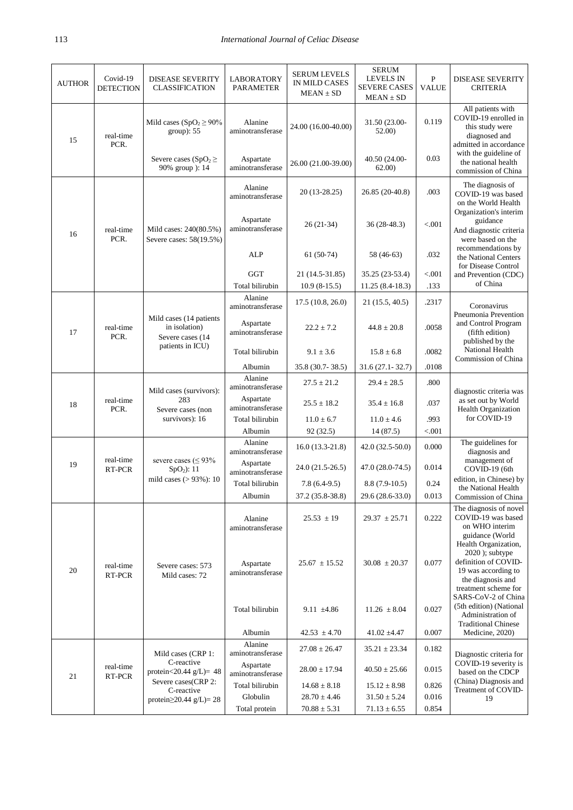| <b>AUTHOR</b> | Covid-19<br><b>DETECTION</b> | <b>DISEASE SEVERITY</b><br><b>CLASSIFICATION</b>                                                   | <b>LABORATORY</b><br>PARAMETER                           | <b>SERUM LEVELS</b><br>IN MILD CASES<br>$MEAN \pm SD$ | <b>SERUM</b><br><b>LEVELS IN</b><br><b>SEVERE CASES</b><br>$MEAN \pm SD$ | $\mathbf{P}$<br><b>VALUE</b>         | <b>DISEASE SEVERITY</b><br>CRITERIA                                                                                                                     |
|---------------|------------------------------|----------------------------------------------------------------------------------------------------|----------------------------------------------------------|-------------------------------------------------------|--------------------------------------------------------------------------|--------------------------------------|---------------------------------------------------------------------------------------------------------------------------------------------------------|
| 15            | real-time<br>PCR.            | Mild cases (SpO <sub>2</sub> $\geq$ 90%<br>group): 55                                              | Alanine<br>aminotransferase                              | 24.00 (16.00-40.00)                                   | 31.50 (23.00-<br>52.00)                                                  | 0.119                                | All patients with<br>COVID-19 enrolled in<br>this study were<br>diagnosed and<br>admitted in accordance                                                 |
|               |                              |                                                                                                    | Severe cases (SpO <sub>2</sub> $\geq$<br>90% group ): 14 | Aspartate<br>aminotransferase                         | 26.00 (21.00-39.00)                                                      | 40.50 (24.00-<br>62.00)              | 0.03                                                                                                                                                    |
|               | real-time<br>PCR.            | Mild cases: 240(80.5%)<br>Severe cases: 58(19.5%)                                                  | Alanine<br>aminotransferase                              | 20 (13-28.25)                                         | 26.85 (20-40.8)                                                          | .003                                 | The diagnosis of<br>COVID-19 was based<br>on the World Health                                                                                           |
| 16            |                              |                                                                                                    | Aspartate<br>aminotransferase                            | $26(21-34)$                                           | 36 (28-48.3)                                                             | < 0.001                              | Organization's interim<br>guidance<br>And diagnostic criteria<br>were based on the<br>recommendations by<br>the National Centers<br>for Disease Control |
|               |                              |                                                                                                    | <b>ALP</b>                                               | $61(50-74)$                                           | 58 (46-63)                                                               | .032                                 |                                                                                                                                                         |
|               |                              |                                                                                                    | <b>GGT</b>                                               | 21 (14.5-31.85)                                       | 35.25 (23-53.4)                                                          | < 0.001                              | and Prevention (CDC)                                                                                                                                    |
|               |                              |                                                                                                    | Total bilirubin                                          | $10.9(8-15.5)$                                        | $11.25(8.4-18.3)$                                                        | .133                                 | of China                                                                                                                                                |
|               |                              | Mild cases (14 patients<br>in isolation)<br>Severe cases (14<br>patients in ICU)                   | Alanine<br>aminotransferase                              | 17.5(10.8, 26.0)                                      | 21(15.5, 40.5)                                                           | .2317                                | Coronavirus                                                                                                                                             |
| 17            | real-time<br>PCR.            |                                                                                                    | Aspartate<br>aminotransferase                            | $22.2 \pm 7.2$                                        | $44.8 \pm 20.8$                                                          | .0058                                | Pneumonia Prevention<br>and Control Program<br>(fifth edition)<br>published by the<br>National Health<br>Commission of China                            |
|               |                              |                                                                                                    | Total bilirubin                                          | $9.1 \pm 3.6$                                         | $15.8 \pm 6.8$                                                           | .0082                                |                                                                                                                                                         |
|               |                              |                                                                                                    | Albumin                                                  | 35.8 (30.7-38.5)                                      | $31.6(27.1 - 32.7)$                                                      | .0108                                |                                                                                                                                                         |
|               | real-time<br>PCR.            | Mild cases (survivors):<br>283<br>Severe cases (non<br>survivors): 16                              | Alanine<br>aminotransferase                              | $27.5 \pm 21.2$                                       | $29.4 \pm 28.5$                                                          | .800                                 | diagnostic criteria was<br>as set out by World<br>Health Organization                                                                                   |
| 18            |                              |                                                                                                    | Aspartate<br>aminotransferase                            | $25.5 \pm 18.2$                                       | $35.4 \pm 16.8$                                                          | .037                                 |                                                                                                                                                         |
|               |                              |                                                                                                    | Total bilirubin                                          | $11.0 \pm 6.7$                                        | $11.0 \pm 4.6$                                                           | .993                                 | for COVID-19                                                                                                                                            |
|               |                              |                                                                                                    | Albumin                                                  | 92(32.5)                                              | 14(87.5)                                                                 | < 0.001                              |                                                                                                                                                         |
|               | real-time<br>RT-PCR          | severe cases ( $\leq$ 93%<br>$SpO2)$ : 11<br>mild cases $(>93\%)$ : 10                             | Alanine<br>aminotransferase<br>Aspartate                 | $16.0(13.3-21.8)$                                     | $42.0(32.5-50.0)$                                                        | 0.000                                | The guidelines for<br>diagnosis and<br>management of                                                                                                    |
| 19            |                              |                                                                                                    | aminotransferase                                         | $24.0(21.5-26.5)$                                     | 47.0 (28.0-74.5)                                                         | 0.014                                | COVID-19 (6th                                                                                                                                           |
|               |                              |                                                                                                    | Total bilirubin                                          | $7.8(6.4-9.5)$                                        | $8.8(7.9-10.5)$                                                          | 0.24                                 | edition, in Chinese) by<br>the National Health                                                                                                          |
|               |                              |                                                                                                    | Albumin                                                  | 37.2 (35.8-38.8)                                      | 29.6 (28.6-33.0)                                                         | 0.013                                | Commission of China                                                                                                                                     |
| 20            | real-time<br>RT-PCR          | Severe cases: 573<br>Mild cases: 72                                                                | Alanine<br>aminotransferase                              | $25.53 \pm 19$                                        | $29.37 \pm 25.71$                                                        | 0.222                                | The diagnosis of novel<br>COVID-19 was based<br>on WHO interim<br>guidance (World                                                                       |
|               |                              |                                                                                                    | Aspartate<br>aminotransferase                            | $25.67 \pm 15.52$                                     | $30.08 \pm 20.37$                                                        | 0.077                                | Health Organization,<br>2020 ); subtype<br>definition of COVID-<br>19 was according to<br>the diagnosis and<br>treatment scheme for                     |
|               |                              |                                                                                                    | Total bilirubin                                          | 9.11 $\pm 4.86$                                       | $11.26 \pm 8.04$                                                         | 0.027                                | SARS-CoV-2 of China<br>(5th edition) (National<br>Administration of<br><b>Traditional Chinese</b>                                                       |
|               |                              |                                                                                                    | Albumin                                                  | $42.53 \pm 4.70$                                      | $41.02 \pm 4.47$                                                         | 0.007                                | Medicine, 2020)                                                                                                                                         |
| 21            | real-time<br>RT-PCR          | Mild cases (CRP 1:<br>C-reactive<br>protein<20.44 $g/L$ )= 48<br>Severe cases(CRP 2:<br>C-reactive | Alanine<br>aminotransferase                              | $27.08 \pm 26.47$                                     | $35.21 \pm 23.34$                                                        | 0.182                                | Diagnostic criteria for<br>COVID-19 severity is<br>based on the CDCP<br>(China) Diagnosis and<br>Treatment of COVID-                                    |
|               |                              |                                                                                                    | Aspartate<br>aminotransferase                            | $28.00 \pm 17.94$                                     | $40.50 \pm 25.66$                                                        | 0.015                                |                                                                                                                                                         |
|               |                              |                                                                                                    | Total bilirubin                                          | $14.68 \pm 8.18$                                      | $15.12 \pm 8.98$                                                         | 0.826                                |                                                                                                                                                         |
|               |                              |                                                                                                    | protein $\geq$ 20.44 g/L)= 28                            | Globulin<br>Total protein                             | $28.70 \pm 4.46$<br>$70.88 \pm 5.31$                                     | $31.50 \pm 5.24$<br>$71.13 \pm 6.55$ | 0.016<br>0.854                                                                                                                                          |
|               |                              |                                                                                                    |                                                          |                                                       |                                                                          |                                      |                                                                                                                                                         |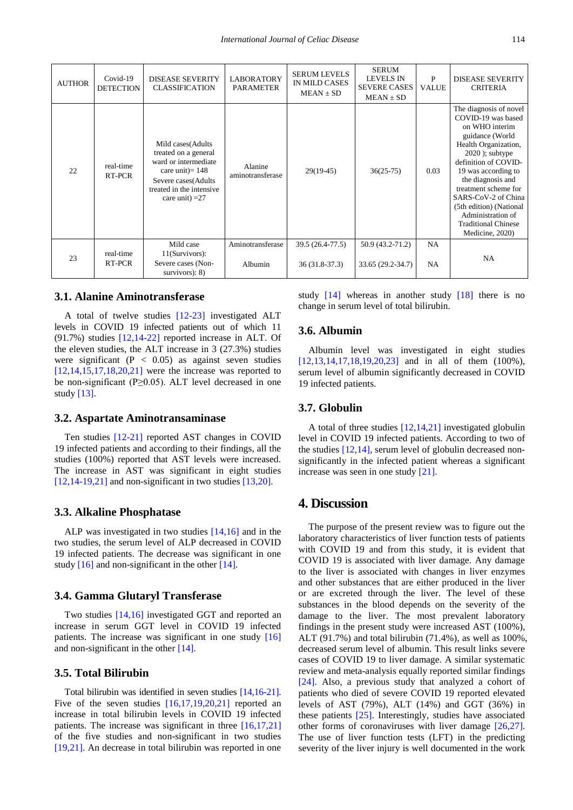| <b>AUTHOR</b> | Covid-19<br><b>DETECTION</b> | <b>DISEASE SEVERITY</b><br><b>CLASSIFICATION</b>                                                                                                                 | <b>LABORATORY</b><br><b>PARAMETER</b> | <b>SERUM LEVELS</b><br>IN MILD CASES<br>$MEAN \pm SD$ | <b>SERUM</b><br><b>LEVELS IN</b><br><b>SEVERE CASES</b><br>$MEAN \pm SD$ | P<br><b>VALUE</b> | <b>DISEASE SEVERITY</b><br><b>CRITERIA</b>                                                                                                                                                                                                                                                                                                         |
|---------------|------------------------------|------------------------------------------------------------------------------------------------------------------------------------------------------------------|---------------------------------------|-------------------------------------------------------|--------------------------------------------------------------------------|-------------------|----------------------------------------------------------------------------------------------------------------------------------------------------------------------------------------------------------------------------------------------------------------------------------------------------------------------------------------------------|
| 22            | real-time<br>RT-PCR          | Mild cases (Adults<br>treated on a general<br>ward or intermediate<br>care unit) = $148$<br>Severe cases (Adults<br>treated in the intensive<br>care unit) $=27$ | Alanine<br>aminotransferase           | $29(19-45)$                                           | $36(25-75)$                                                              | 0.03              | The diagnosis of novel<br>COVID-19 was based<br>on WHO interim<br>guidance (World<br>Health Organization,<br>$2020$ ); subtype<br>definition of COVID-<br>19 was according to<br>the diagnosis and<br>treatment scheme for<br>SARS-CoV-2 of China<br>(5th edition) (National<br>Administration of<br><b>Traditional Chinese</b><br>Medicine, 2020) |
| 23            | real-time                    | Mild case<br>11(Survivors):                                                                                                                                      | Aminotransferase                      | 39.5 (26.4-77.5)                                      | 50.9 (43.2-71.2)                                                         | NA                | NA                                                                                                                                                                                                                                                                                                                                                 |
|               | RT-PCR                       | Severe cases (Non-<br>survivors $)$ : 8)                                                                                                                         | Albumin                               | $36(31.8-37.3)$                                       | 33.65 (29.2-34.7)                                                        | <b>NA</b>         |                                                                                                                                                                                                                                                                                                                                                    |

#### **3.1. Alanine Aminotransferase**

A total of twelve studies [\[12-23\]](#page-5-9) investigated ALT levels in COVID 19 infected patients out of which 11 (91.7%) studies [\[12,14-22\]](#page-5-9) reported increase in ALT. Of the eleven studies, the ALT increase in 3 (27.3%) studies were significant ( $P < 0.05$ ) as against seven studies  $[12,14,15,17,18,20,21]$  were the increase was reported to be non-significant ( $P \ge 0.05$ ). ALT level decreased in one study [\[13\].](#page-5-10)

#### **3.2. Aspartate Aminotransaminase**

Ten studies [\[12-21\]](#page-5-9) reported AST changes in COVID 19 infected patients and according to their findings, all the studies (100%) reported that AST levels were increased. The increase in AST was significant in eight studies [\[12,14-19,21\]](#page-5-9) and non-significant in two studies [\[13,20\].](#page-5-10)

#### **3.3. Alkaline Phosphatase**

ALP was investigated in two studies [\[14,16\]](#page-5-11) and in the two studies, the serum level of ALP decreased in COVID 19 infected patients. The decrease was significant in one study [\[16\]](#page-5-12) and non-significant in the other [\[14\].](#page-5-11)

#### **3.4. Gamma Glutaryl Transferase**

Two studies [\[14,16\]](#page-5-11) investigated GGT and reported an increase in serum GGT level in COVID 19 infected patients. The increase was significant in one study [\[16\]](#page-5-12) and non-significant in the othe[r \[14\].](#page-5-11)

#### **3.5. Total Bilirubin**

Total bilirubin was identified in seven studies [\[14,16-21\].](#page-5-11) Five of the seven studies  $[16,17,19,20,21]$  reported an increase in total bilirubin levels in COVID 19 infected patients. The increase was significant in three [\[16,17,21\]](#page-5-12) of the five studies and non-significant in two studies [\[19,21\].](#page-5-13) An decrease in total bilirubin was reported in one

study [\[14\]](#page-5-11) whereas in another study [\[18\]](#page-5-14) there is no change in serum level of total bilirubin.

#### **3.6. Albumin**

Albumin level was investigated in eight studies [\[12,13,14,17,18,19,20,23\]](#page-5-9) and in all of them (100%), serum level of albumin significantly decreased in COVID 19 infected patients.

#### **3.7. Globulin**

A total of three studies [\[12,14,21\]](#page-5-9) investigated globulin level in COVID 19 infected patients. According to two of the studies [\[12,14\],](#page-5-9) serum level of globulin decreased nonsignificantly in the infected patient whereas a significant increase was seen in one study [\[21\].](#page-5-15)

#### **4. Discussion**

The purpose of the present review was to figure out the laboratory characteristics of liver function tests of patients with COVID 19 and from this study, it is evident that COVID 19 is associated with liver damage. Any damage to the liver is associated with changes in liver enzymes and other substances that are either produced in the liver or are excreted through the liver. The level of these substances in the blood depends on the severity of the damage to the liver. The most prevalent laboratory findings in the present study were increased AST (100%), ALT (91.7%) and total bilirubin (71.4%), as well as 100%, decreased serum level of albumin. This result links severe cases of COVID 19 to liver damage. A similar systematic review and meta-analysis equally reported similar findings [\[24\].](#page-5-16) Also, a previous study that analyzed a cohort of patients who died of severe COVID 19 reported elevated levels of AST (79%), ALT (14%) and GGT (36%) in these patients [\[25\].](#page-5-17) Interestingly, studies have associated other forms of coronaviruses with liver damage [\[26,27\].](#page-5-18) The use of liver function tests (LFT) in the predicting severity of the liver injury is well documented in the work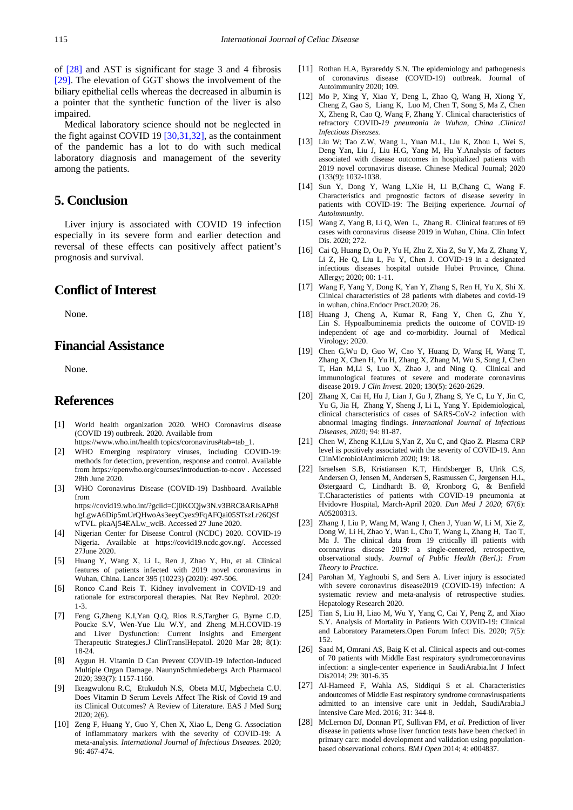of [\[28\]](#page-5-19) and AST is significant for stage 3 and 4 fibrosis [\[29\].](#page-6-0) The elevation of GGT shows the involvement of the biliary epithelial cells whereas the decreased in albumin is a pointer that the synthetic function of the liver is also impaired.

Medical laboratory science should not be neglected in the fight against COVID 19 [\[30,31,32\],](#page-6-1) as the containment of the pandemic has a lot to do with such medical laboratory diagnosis and management of the severity among the patients.

## **5. Conclusion**

Liver injury is associated with COVID 19 infection especially in its severe form and earlier detection and reversal of these effects can positively affect patient's prognosis and survival.

## **Conflict of Interest**

None.

# **Financial Assistance**

None.

### **References**

- <span id="page-5-0"></span>[1] World health organization 2020. WHO Coronavirus disease (COVID 19) outbreak. 2020. Available from https://www.who.int/health topics/coronavirus#tab=tab\_1.
- <span id="page-5-1"></span>[2] WHO Emerging respiratory viruses, including COVID-19: methods for detection, prevention, response and control. Available from https://openwho.org/courses/introduction-to-ncov . Accessed 28th June 2020.
- <span id="page-5-2"></span>[3] WHO Coronavirus Disease (COVID-19) Dashboard. Available from https://covid19.who.int/?gclid=Cj0KCQjw3N.v3BRC8ARIsAPh8 hgLgwA6Dip5mUrQHwoAs3eeyCyex9FqAFQai05STszLr26QSf
- <span id="page-5-3"></span>wTVL. pkaAj54EALw\_wcB. Accessed 27 June 2020. [4] Nigerian Center for Disease Control (NCDC) 2020. COVID-19 Nigeria. Available at https://covid19.ncdc.gov.ng/. Accessed 27June 2020.
- <span id="page-5-4"></span>[5] Huang Y, Wang X, Li L, Ren J, Zhao Y, Hu, et al. Clinical features of patients infected with 2019 novel coronavirus in Wuhan, China. Lancet 395 (10223) (2020): 497-506.
- <span id="page-5-5"></span>Ronco C.and Reis T. Kidney involvement in COVID-19 and rationale for extracorporeal therapies. Nat Rev Nephrol. 2020: 1-3.
- <span id="page-5-8"></span>[7] Feng G,Zheng K.I,Yan Q.Q, Rios R.S,Targher G, Byrne C.D, Poucke S.V, Wen-Yue Liu W.Y, and Zheng M.H.COVID-19 and Liver Dysfunction: Current Insights and Emergent Therapeutic Strategies.J ClinTranslHepatol. 2020 Mar 28; 8(1): 18-24.
- <span id="page-5-6"></span>[8] Aygun H. Vitamin D Can Prevent COVID-19 Infection-Induced Multiple Organ Damage. NaunynSchmiedebergs Arch Pharmacol 2020; 393(7): 1157-1160.
- [9] Ikeagwulonu R.C, Etukudoh N.S, Obeta M.U, Mgbecheta C.U. Does Vitamin D Serum Levels Affect The Risk of Covid 19 and its Clinical Outcomes? A Review of Literature. EAS J Med Surg 2020; 2(6).
- [10] Zeng F, Huang Y, Guo Y, Chen X, Xiao L, Deng G. Association of inflammatory markers with the severity of COVID-19: A meta-analysis. *International Journal of Infectious Diseases.* 2020; 96: 467-474.
- <span id="page-5-7"></span>[11] Rothan H.A, Byrareddy S.N. The epidemiology and pathogenesis of coronavirus disease (COVID-19) outbreak. Journal of Autoimmunity 2020; 109.
- <span id="page-5-9"></span>[12] Mo P, Xing Y, Xiao Y, Deng L, Zhao Q, Wang H, Xiong Y, Cheng Z, Gao S, Liang K, Luo M, Chen T, Song S, Ma Z, Chen X, Zheng R, Cao Q, Wang F, Zhang Y. Clinical characteristics of refractory COVID*-19 pneumonia in Wuhan, China .Clinical Infectious Diseases.*
- <span id="page-5-10"></span>[13] Liu W; Tao Z.W, Wang L, Yuan M.L, Liu K, Zhou L, Wei S, Deng Yan, Liu J, Liu H.G, Yang M, Hu Y.Analysis of factors associated with disease outcomes in hospitalized patients with 2019 novel coronavirus disease. Chinese Medical Journal; 2020 (133(9): 1032-1038.
- <span id="page-5-11"></span>[14] Sun Y, Dong Y, Wang L,Xie H, Li B,Chang C, Wang F. Characteristics and prognostic factors of disease severity in patients with COVID-19: The Beijing experience. *Journal of Autoimmunity*.
- [15] Wang Z, Yang B, Li Q, Wen L, Zhang R. Clinical features of 69 cases with coronavirus disease 2019 in Wuhan, China. Clin Infect Dis. 2020; 272.
- <span id="page-5-12"></span>[16] Cai Q, Huang D, Ou P, Yu H, Zhu Z, Xia Z, Su Y, Ma Z, Zhang Y, Li Z, He Q, Liu L, Fu Y, Chen J. COVID‐19 in a designated infectious diseases hospital outside Hubei Province, China. Allergy; 2020; 00: 1-11.
- [17] Wang F, Yang Y, Dong K, Yan Y, Zhang S, Ren H, Yu X, Shi X. Clinical characteristics of 28 patients with diabetes and covid-19 in wuhan, china.Endocr Pract.2020; 26.
- <span id="page-5-14"></span>[18] Huang J, Cheng A, Kumar R, Fang Y, Chen G, Zhu Y, Lin S. Hypoalbuminemia predicts the outcome of COVID‐19 independent of age and co-morbidity. Journal of Medical Virology; 2020.
- <span id="page-5-13"></span>[19] Chen G,Wu D, Guo W, Cao Y, Huang D, Wang H, Wang T, Zhang X, Chen H, Yu H, Zhang X, Zhang M, Wu S, Song J, Chen T, Han M,Li S, Luo X, Zhao J, and Ning Q. Clinical and immunological features of severe and moderate coronavirus disease 2019. *J Clin Invest*. 2020; 130(5): 2620-2629.
- [20] Zhang X, Cai H, Hu J, Lian J, Gu J, Zhang S, Ye C, Lu Y, Jin C, Yu G, Jia H, Zhang Y, Sheng J, Li L, Yang Y. Epidemiological, clinical characteristics of cases of SARS-CoV-2 infection with abnormal imaging findings. *International Journal of Infectious Diseases, 2020;* 94: 81-87.
- <span id="page-5-15"></span>[21] Chen W, Zheng K.I,Liu S,Yan Z, Xu C, and Qiao Z. Plasma CRP level is positively associated with the severity of COVID-19. Ann ClinMicrobiolAntimicrob 2020; 19: 18.
- [22] Israelsen S.B, Kristiansen K.T, Hindsberger B, Ulrik C.S, Andersen O, Jensen M, Andersen S, Rasmussen C, Jørgensen H.L, Østergaard C, Lindhardt B. Ø, Kronborg G, & Benfield T.Characteristics of patients with COVID-19 pneumonia at Hvidovre Hospital, March-April 2020. *Dan Med J 2020*; 67(6): A05200313.
- [23] Zhang J, Liu P, Wang M, Wang J, Chen J, Yuan W, Li M, Xie Z, Dong W, Li H, Zhao Y, Wan L, Chu T, Wang L, Zhang H, Tao T, Ma J. The clinical data from 19 critically ill patients with coronavirus disease 2019: a single-centered, retrospective, observational study. *Journal of Public Health (Berl.): From Theory to Practice.*
- <span id="page-5-16"></span>[24] Parohan M, Yaghoubi S, and Sera A. Liver injury is associated with severe coronavirus disease2019 (COVID-19) infection: A systematic review and meta-analysis of retrospective studies. Hepatology Research 2020.
- <span id="page-5-17"></span>[25] Tian S, Liu H, Liao M, Wu Y, Yang C, Cai Y, Peng Z, and Xiao S.Y. Analysis of Mortality in Patients With COVID-19: Clinical and Laboratory Parameters.Open Forum Infect Dis. 2020; 7(5): 152.
- <span id="page-5-18"></span>[26] Saad M, Omrani AS, Baig K et al. Clinical aspects and out-comes of 70 patients with Middle East respiratory syndromecoronavirus infection: a single-center experience in SaudiArabia.Int J Infect Dis2014; 29: 301-6.35
- [27] Al-Hameed F, Wahla AS, Siddiqui S et al. Characteristics andoutcomes of Middle East respiratory syndrome coronaviruspatients admitted to an intensive care unit in Jeddah, SaudiArabia.J Intensive Care Med. 2016; 31: 344-8.
- <span id="page-5-19"></span>[28] McLernon DJ, Donnan PT, Sullivan FM, et al. Prediction of liver disease in patients whose liver function tests have been checked in primary care: model development and validation using populationbased observational cohorts. *BMJ Open* 2014; 4: e004837.